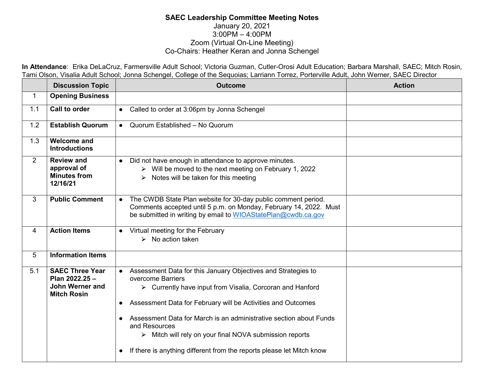## **SAEC Leadership Committee Meeting Notes** January 20, 2021 3:00PM – 4:00PM Zoom (Virtual On-Line Meeting) Co-Chairs: Heather Keran and Jonna Schengel

**In Attendance**: Erika DeLaCruz, Farmersville Adult School; Victoria Guzman, Cutler-Orosi Adult Education; Barbara Marshall, SAEC; Mitch Rosin, Tami Olson, Visalia Adult School; Jonna Schengel, College of the Sequoias; Larriann Torrez, Porterville Adult, John Werner, SAEC Director

|                | <b>Discussion Topic</b>                                                                  | <b>Outcome</b>                                                                                                                                                                                                                                                                                                                                                                                                                                                                                       | <b>Action</b> |
|----------------|------------------------------------------------------------------------------------------|------------------------------------------------------------------------------------------------------------------------------------------------------------------------------------------------------------------------------------------------------------------------------------------------------------------------------------------------------------------------------------------------------------------------------------------------------------------------------------------------------|---------------|
| $\mathbf{1}$   | <b>Opening Business</b>                                                                  |                                                                                                                                                                                                                                                                                                                                                                                                                                                                                                      |               |
| 1.1            | Call to order                                                                            | Called to order at 3:06pm by Jonna Schengel<br>$\bullet$                                                                                                                                                                                                                                                                                                                                                                                                                                             |               |
| 1.2            | <b>Establish Quorum</b>                                                                  | Quorum Established - No Quorum<br>$\bullet$                                                                                                                                                                                                                                                                                                                                                                                                                                                          |               |
| 1.3            | <b>Welcome and</b><br><b>Introductions</b>                                               |                                                                                                                                                                                                                                                                                                                                                                                                                                                                                                      |               |
| $\overline{2}$ | <b>Review and</b><br>approval of<br><b>Minutes from</b><br>12/16/21                      | Did not have enough in attendance to approve minutes.<br>$\bullet$<br>$\triangleright$ Will be moved to the next meeting on February 1, 2022<br>Notes will be taken for this meeting<br>➤                                                                                                                                                                                                                                                                                                            |               |
| 3              | <b>Public Comment</b>                                                                    | The CWDB State Plan website for 30-day public comment period.<br>$\bullet$<br>Comments accepted until 5 p.m. on Monday, February 14, 2022. Must<br>be submitted in writing by email to WIOAStatePlan@cwdb.ca.gov                                                                                                                                                                                                                                                                                     |               |
| 4              | <b>Action Items</b>                                                                      | • Virtual meeting for the February<br>$\triangleright$ No action taken                                                                                                                                                                                                                                                                                                                                                                                                                               |               |
| 5              | <b>Information Items</b>                                                                 |                                                                                                                                                                                                                                                                                                                                                                                                                                                                                                      |               |
| 5.1            | <b>SAEC Three Year</b><br>Plan 2022.25 -<br><b>John Werner and</b><br><b>Mitch Rosin</b> | Assessment Data for this January Objectives and Strategies to<br>$\bullet$<br>overcome Barriers<br>$\triangleright$ Currently have input from Visalia, Corcoran and Hanford<br>• Assessment Data for February will be Activities and Outcomes<br>Assessment Data for March is an administrative section about Funds<br>and Resources<br>$\triangleright$ Mitch will rely on your final NOVA submission reports<br>If there is anything different from the reports please let Mitch know<br>$\bullet$ |               |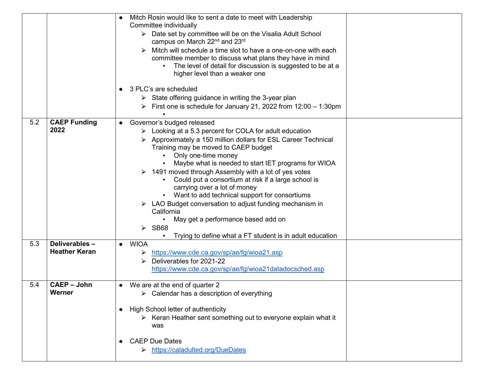|     |                                       | Mitch Rosin would like to sent a date to meet with Leadership<br>Committee individually<br>> Date set by committee will be on the Visalia Adult School<br>campus on March 22 <sup>nd</sup> and 23 <sup>rd</sup><br>Mitch will schedule a time slot to have a one-on-one with each<br>committee member to discuss what plans they have in mind<br>The level of detail for discussion is suggested to be at a<br>higher level than a weaker one<br>3 PLC's are scheduled<br>$\bullet$<br>$\triangleright$ State offering guidance in writing the 3-year plan<br>First one is schedule for January 21, 2022 from $12:00 - 1:30$ pm                                                                             |
|-----|---------------------------------------|-------------------------------------------------------------------------------------------------------------------------------------------------------------------------------------------------------------------------------------------------------------------------------------------------------------------------------------------------------------------------------------------------------------------------------------------------------------------------------------------------------------------------------------------------------------------------------------------------------------------------------------------------------------------------------------------------------------|
| 5.2 | <b>CAEP Funding</b><br>2022           | Governor's budged released<br>Looking at a 5.3 percent for COLA for adult education<br>➤<br>Approximately a 150 million dollars for ESL Career Technical<br>➤<br>Training may be moved to CAEP budget<br>Only one-time money<br>Maybe what is needed to start IET programs for WIOA<br>1491 moved through Assembly with a lot of yes votes<br>➤<br>Could put a consortium at risk if a large school is<br>carrying over a lot of money<br>Want to add technical support for consortiums<br>$\triangleright$ LAO Budget conversation to adjust funding mechanism in<br>California<br>May get a performance based add on<br>$\triangleright$ SB68<br>Trying to define what a FT student is in adult education |
| 5.3 | Deliverables-<br><b>Heather Keran</b> | <b>WIOA</b><br>https://www.cde.ca.gov/sp/ae/fg/wioa21.asp<br>➤<br>Deliverables for 2021-22<br>⋗<br>https://www.cde.ca.gov/sp/ae/fg/wioa21datadocsched.asp                                                                                                                                                                                                                                                                                                                                                                                                                                                                                                                                                   |
| 5.4 | <b>CAEP - John</b><br>Werner          | We are at the end of quarter 2<br>$\triangleright$ Calendar has a description of everything<br>High School letter of authenticity<br>$\bullet$<br>$\triangleright$ Keran Heather sent something out to everyone explain what it<br>was<br><b>CAEP Due Dates</b><br>https://caladulted.org/DueDates                                                                                                                                                                                                                                                                                                                                                                                                          |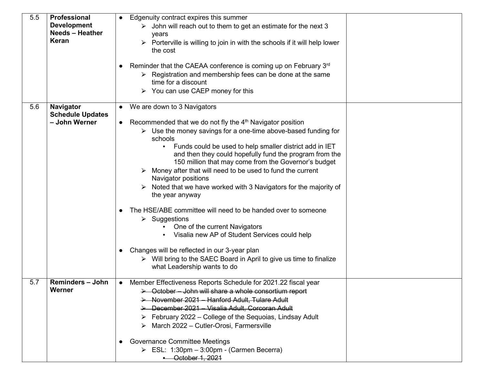| 5.5 | Professional                             | Edgenuity contract expires this summer<br>$\bullet$                                                                                            |
|-----|------------------------------------------|------------------------------------------------------------------------------------------------------------------------------------------------|
|     | <b>Development</b>                       | $\triangleright$ John will reach out to them to get an estimate for the next 3                                                                 |
|     | <b>Needs - Heather</b>                   | years                                                                                                                                          |
|     | <b>Keran</b>                             | $\triangleright$ Porterville is willing to join in with the schools if it will help lower                                                      |
|     |                                          | the cost                                                                                                                                       |
|     |                                          | Reminder that the CAEAA conference is coming up on February 3rd                                                                                |
|     |                                          | $\triangleright$ Registration and membership fees can be done at the same                                                                      |
|     |                                          | time for a discount                                                                                                                            |
|     |                                          | You can use CAEP money for this<br>➤                                                                                                           |
| 5.6 | Navigator                                | • We are down to 3 Navigators                                                                                                                  |
|     | <b>Schedule Updates</b><br>- John Werner |                                                                                                                                                |
|     |                                          | • Recommended that we do not fly the $4th$ Navigator position<br>$\triangleright$ Use the money savings for a one-time above-based funding for |
|     |                                          | schools                                                                                                                                        |
|     |                                          | Funds could be used to help smaller district add in IET                                                                                        |
|     |                                          | and then they could hopefully fund the program from the                                                                                        |
|     |                                          | 150 million that may come from the Governor's budget                                                                                           |
|     |                                          | Money after that will need to be used to fund the current<br>Navigator positions                                                               |
|     |                                          | Noted that we have worked with 3 Navigators for the majority of                                                                                |
|     |                                          | the year anyway                                                                                                                                |
|     |                                          | The HSE/ABE committee will need to be handed over to someone                                                                                   |
|     |                                          | $\triangleright$ Suggestions                                                                                                                   |
|     |                                          | One of the current Navigators                                                                                                                  |
|     |                                          | Visalia new AP of Student Services could help                                                                                                  |
|     |                                          | Changes will be reflected in our 3-year plan                                                                                                   |
|     |                                          | $\triangleright$ Will bring to the SAEC Board in April to give us time to finalize                                                             |
|     |                                          | what Leadership wants to do                                                                                                                    |
| 5.7 | <b>Reminders - John</b>                  | Member Effectiveness Reports Schedule for 2021.22 fiscal year<br>$\bullet$                                                                     |
|     | Werner                                   | > October - John will share a whole consortium report                                                                                          |
|     |                                          | > November 2021 - Hanford Adult, Tulare Adult                                                                                                  |
|     |                                          | > December 2021 - Visalia Adult, Corcoran Adult                                                                                                |
|     |                                          | February 2022 – College of the Sequoias, Lindsay Adult                                                                                         |
|     |                                          | March 2022 - Cutler-Orosi, Farmersville<br>➤                                                                                                   |
|     |                                          | <b>Governance Committee Meetings</b>                                                                                                           |
|     |                                          | $\triangleright$ ESL: 1:30pm - 3:00pm - (Carmen Becerra)                                                                                       |
|     |                                          | - October 1, 2021                                                                                                                              |